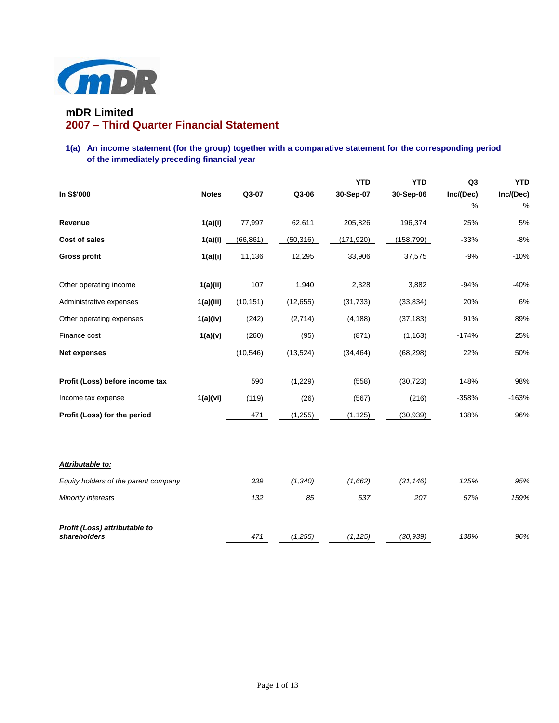

# **mDR Limited 2007 – Third Quarter Financial Statement**

## **1(a) An income statement (for the group) together with a comparative statement for the corresponding period of the immediately preceding financial year**

|                                               |              |           |           | <b>YTD</b> | <b>YTD</b> | Q <sub>3</sub> | <b>YTD</b> |
|-----------------------------------------------|--------------|-----------|-----------|------------|------------|----------------|------------|
| In S\$'000                                    | <b>Notes</b> | Q3-07     | Q3-06     | 30-Sep-07  | 30-Sep-06  | Inc/(Dec)      | Inc/(Dec)  |
|                                               |              |           |           |            |            | %              | %          |
| Revenue                                       | 1(a)(i)      | 77,997    | 62,611    | 205,826    | 196,374    | 25%            | 5%         |
| <b>Cost of sales</b>                          | 1(a)(i)      | (66, 861) | (50, 316) | (171, 920) | (158, 799) | $-33%$         | $-8%$      |
| <b>Gross profit</b>                           | 1(a)(i)      | 11,136    | 12,295    | 33,906     | 37,575     | $-9%$          | $-10%$     |
| Other operating income                        | 1(a)(ii)     | 107       | 1,940     | 2,328      | 3,882      | $-94%$         | $-40%$     |
| Administrative expenses                       | 1(a)(iii)    | (10, 151) | (12, 655) | (31, 733)  | (33, 834)  | 20%            | 6%         |
| Other operating expenses                      | 1(a)(iv)     | (242)     | (2,714)   | (4, 188)   | (37, 183)  | 91%            | 89%        |
| Finance cost                                  | 1(a)(v)      | (260)     | (95)      | (871)      | (1, 163)   | $-174%$        | 25%        |
| <b>Net expenses</b>                           |              | (10, 546) | (13, 524) | (34, 464)  | (68, 298)  | 22%            | 50%        |
| Profit (Loss) before income tax               |              | 590       | (1, 229)  | (558)      | (30, 723)  | 148%           | 98%        |
| Income tax expense                            | 1(a)(vi)     | (119)     | (26)      | (567)      | (216)      | $-358%$        | $-163%$    |
| Profit (Loss) for the period                  |              | 471       | (1, 255)  | (1, 125)   | (30, 939)  | 138%           | 96%        |
|                                               |              |           |           |            |            |                |            |
| Attributable to:                              |              |           |           |            |            |                |            |
| Equity holders of the parent company          |              | 339       | (1, 340)  | (1,662)    | (31, 146)  | 125%           | 95%        |
| <b>Minority interests</b>                     |              | 132       | 85        | 537        | 207        | 57%            | 159%       |
| Profit (Loss) attributable to<br>shareholders |              | 471       | (1, 255)  | (1, 125)   | (30.939)   | 138%           | 96%        |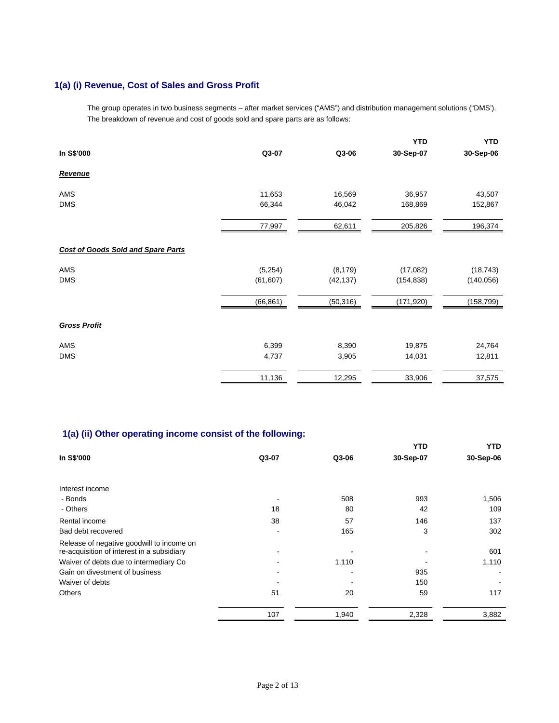# **1(a) (i) Revenue, Cost of Sales and Gross Profit**

The group operates in two business segments – after market services ("AMS") and distribution management solutions ("DMS'). The breakdown of revenue and cost of goods sold and spare parts are as follows:

|                                           |           |           | <b>YTD</b> | <b>YTD</b> |
|-------------------------------------------|-----------|-----------|------------|------------|
| In S\$'000                                | Q3-07     | Q3-06     | 30-Sep-07  | 30-Sep-06  |
| <b>Revenue</b>                            |           |           |            |            |
| <b>AMS</b>                                | 11,653    | 16,569    | 36,957     | 43,507     |
| <b>DMS</b>                                | 66,344    | 46,042    | 168,869    | 152,867    |
|                                           | 77,997    | 62,611    | 205,826    | 196,374    |
| <b>Cost of Goods Sold and Spare Parts</b> |           |           |            |            |
| <b>AMS</b>                                | (5,254)   | (8, 179)  | (17,082)   | (18, 743)  |
| <b>DMS</b>                                | (61, 607) | (42, 137) | (154, 838) | (140, 056) |
|                                           | (66, 861) | (50, 316) | (171, 920) | (158, 799) |
| <b>Gross Profit</b>                       |           |           |            |            |
| AMS                                       | 6,399     | 8,390     | 19,875     | 24,764     |
| <b>DMS</b>                                | 4,737     | 3,905     | 14,031     | 12,811     |
|                                           | 11,136    | 12,295    | 33,906     | 37,575     |

# **1(a) (ii) Other operating income consist of the following:**

|       |       | <b>YTD</b> | YTD       |
|-------|-------|------------|-----------|
| Q3-07 | Q3-06 | 30-Sep-07  | 30-Sep-06 |
|       |       |            |           |
|       |       |            |           |
|       | 508   | 993        | 1,506     |
| 18    | 80    | 42         | 109       |
| 38    | 57    | 146        | 137       |
|       | 165   | 3          | 302       |
|       |       |            |           |
|       |       |            | 601       |
|       |       |            | 1,110     |
|       |       | 935        |           |
|       |       | 150        |           |
| 51    | 20    | 59         | 117       |
| 107   | 1,940 | 2,328      | 3,882     |
|       |       | 1,110      |           |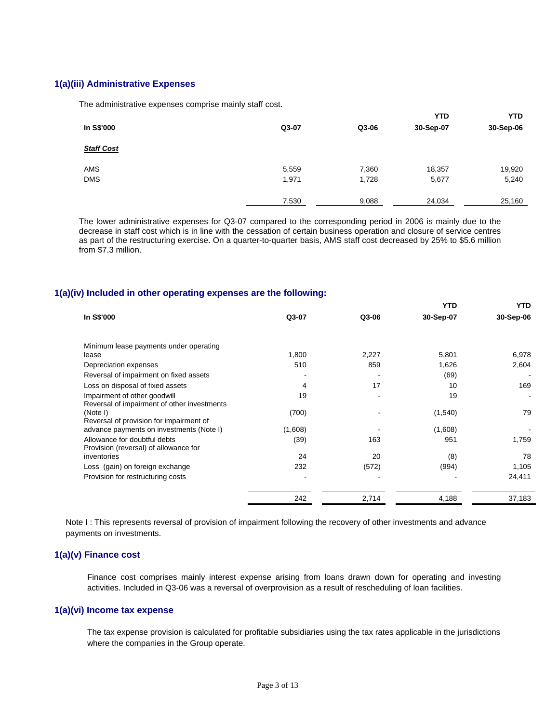## **1(a)(iii) Administrative Expenses**

The administrative expenses comprise mainly staff cost.

|                   |       |       | <b>YTD</b> | <b>YTD</b> |
|-------------------|-------|-------|------------|------------|
| In S\$'000        | Q3-07 | Q3-06 | 30-Sep-07  | 30-Sep-06  |
| <b>Staff Cost</b> |       |       |            |            |
| AMS               | 5,559 | 7,360 | 18,357     | 19,920     |
| <b>DMS</b>        | 1,971 | 1,728 | 5,677      | 5,240      |
|                   | 7,530 | 9,088 | 24,034     | 25,160     |

 The lower administrative expenses for Q3-07 compared to the corresponding period in 2006 is mainly due to the decrease in staff cost which is in line with the cessation of certain business operation and closure of service centres as part of the restructuring exercise. On a quarter-to-quarter basis, AMS staff cost decreased by 25% to \$5.6 million from \$7.3 million.

## **1(a)(iv) Included in other operating expenses are the following:**

|                                                                             |         |       | YTD       | <b>YTD</b> |
|-----------------------------------------------------------------------------|---------|-------|-----------|------------|
| In S\$'000                                                                  | Q3-07   | Q3-06 | 30-Sep-07 | 30-Sep-06  |
| Minimum lease payments under operating                                      |         |       |           |            |
| lease                                                                       | 1,800   | 2,227 | 5,801     | 6,978      |
| Depreciation expenses                                                       | 510     | 859   | 1,626     | 2,604      |
| Reversal of impairment on fixed assets                                      |         |       | (69)      |            |
| Loss on disposal of fixed assets                                            | 4       | 17    | 10        | 169        |
| Impairment of other goodwill<br>Reversal of impairment of other investments | 19      |       | 19        |            |
| (Note I)<br>Reversal of provision for impairment of                         | (700)   |       | (1,540)   | 79         |
| advance payments on investments (Note I)                                    | (1,608) |       | (1,608)   |            |
| Allowance for doubtful debts<br>Provision (reversal) of allowance for       | (39)    | 163   | 951       | 1,759      |
| inventories                                                                 | 24      | 20    | (8)       | 78         |
| Loss (gain) on foreign exchange                                             | 232     | (572) | (994)     | 1,105      |
| Provision for restructuring costs                                           |         |       |           | 24,411     |
|                                                                             | 242     | 2,714 | 4,188     | 37,183     |

Note I: This represents reversal of provision of impairment following the recovery of other investments and advance payments on investments.

## **1(a)(v) Finance cost**

Finance cost comprises mainly interest expense arising from loans drawn down for operating and investing activities. Included in Q3-06 was a reversal of overprovision as a result of rescheduling of loan facilities.

### **1(a)(vi) Income tax expense**

The tax expense provision is calculated for profitable subsidiaries using the tax rates applicable in the jurisdictions where the companies in the Group operate.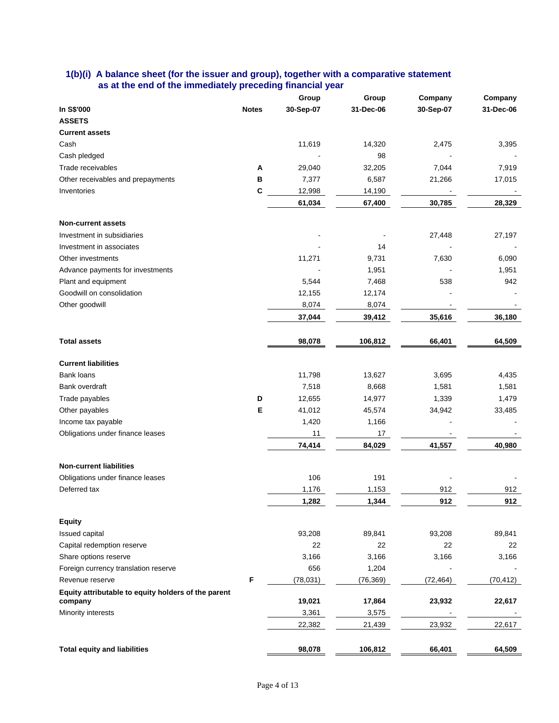## **1(b)(i) A balance sheet (for the issuer and group), together with a comparative statement as at the end of the immediately preceding financial year**

|                                                                    |              | Group     | Group     | Company   | Company   |
|--------------------------------------------------------------------|--------------|-----------|-----------|-----------|-----------|
| In S\$'000                                                         | <b>Notes</b> | 30-Sep-07 | 31-Dec-06 | 30-Sep-07 | 31-Dec-06 |
| <b>ASSETS</b>                                                      |              |           |           |           |           |
| <b>Current assets</b>                                              |              |           |           |           |           |
| Cash                                                               |              | 11,619    | 14,320    | 2,475     | 3,395     |
| Cash pledged                                                       |              |           | 98        |           |           |
| Trade receivables                                                  | A            | 29,040    | 32,205    | 7,044     | 7,919     |
| Other receivables and prepayments                                  | в            | 7,377     | 6,587     | 21,266    | 17,015    |
| Inventories                                                        | C            | 12,998    | 14,190    |           |           |
|                                                                    |              | 61,034    | 67,400    | 30,785    | 28,329    |
| <b>Non-current assets</b>                                          |              |           |           |           |           |
| Investment in subsidiaries                                         |              |           |           | 27,448    | 27,197    |
| Investment in associates                                           |              |           | 14        |           |           |
| Other investments                                                  |              | 11,271    | 9,731     | 7,630     | 6,090     |
| Advance payments for investments                                   |              |           | 1,951     |           | 1,951     |
| Plant and equipment                                                |              | 5,544     | 7,468     | 538       | 942       |
| Goodwill on consolidation                                          |              | 12,155    | 12,174    |           |           |
| Other goodwill                                                     |              | 8,074     | 8,074     |           |           |
|                                                                    |              | 37,044    | 39,412    | 35,616    | 36,180    |
| <b>Total assets</b>                                                |              | 98,078    | 106,812   | 66,401    | 64,509    |
| <b>Current liabilities</b>                                         |              |           |           |           |           |
| <b>Bank loans</b>                                                  |              | 11,798    | 13,627    | 3,695     | 4,435     |
| Bank overdraft                                                     |              | 7,518     | 8,668     | 1,581     | 1,581     |
| Trade payables                                                     | D            | 12,655    | 14,977    | 1,339     | 1,479     |
| Other payables                                                     | E            | 41,012    | 45,574    | 34,942    | 33,485    |
| Income tax payable                                                 |              | 1,420     | 1,166     |           |           |
| Obligations under finance leases                                   |              | 11        | 17        |           |           |
|                                                                    |              | 74,414    | 84,029    | 41,557    | 40,980    |
|                                                                    |              |           |           |           |           |
| <b>Non-current liabilities</b><br>Obligations under finance leases |              | 106       | 191       |           |           |
| Deferred tax                                                       |              | 1,176     | 1,153     | 912       | 912       |
|                                                                    |              | 1,282     | 1,344     | 912       | 912       |
| <b>Equity</b>                                                      |              |           |           |           |           |
| <b>Issued capital</b>                                              |              | 93,208    | 89,841    | 93,208    | 89,841    |
| Capital redemption reserve                                         |              | 22        | 22        | 22        | 22        |
| Share options reserve                                              |              | 3,166     | 3,166     | 3,166     | 3,166     |
| Foreign currency translation reserve                               |              | 656       | 1,204     |           |           |
| Revenue reserve                                                    | F            |           |           | (72, 464) |           |
| Equity attributable to equity holders of the parent                |              | (78, 031) | (76, 369) |           | (70, 412) |
| company                                                            |              | 19,021    | 17,864    | 23,932    | 22,617    |
| Minority interests                                                 |              | 3,361     | 3,575     |           |           |
|                                                                    |              | 22,382    | 21,439    | 23,932    | 22,617    |
| <b>Total equity and liabilities</b>                                |              | 98,078    | 106,812   | 66,401    | 64,509    |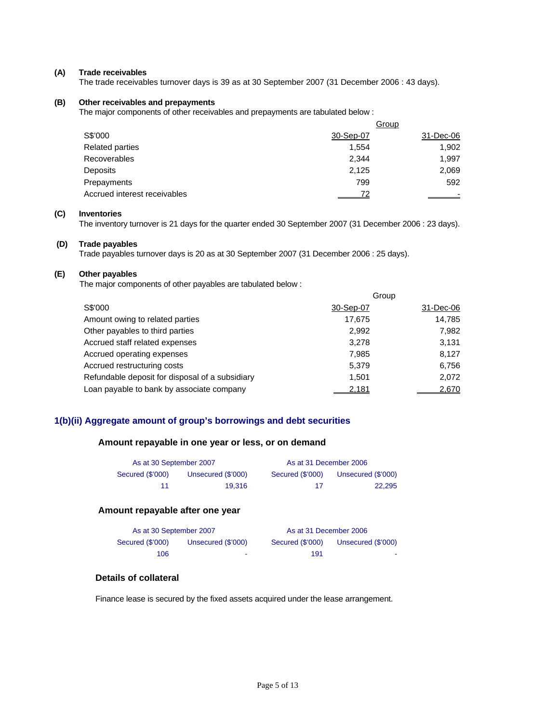#### **(A) Trade receivables**

The trade receivables turnover days is 39 as at 30 September 2007 (31 December 2006 : 43 days).

#### **(B) Other receivables and prepayments**

The major components of other receivables and prepayments are tabulated below :

|                              | Group     |           |  |  |
|------------------------------|-----------|-----------|--|--|
| S\$'000                      | 30-Sep-07 | 31-Dec-06 |  |  |
| <b>Related parties</b>       | 1.554     | 1,902     |  |  |
| <b>Recoverables</b>          | 2.344     | 1,997     |  |  |
| Deposits                     | 2,125     | 2,069     |  |  |
| Prepayments                  | 799       | 592       |  |  |
| Accrued interest receivables |           |           |  |  |

#### **(C) Inventories**

The inventory turnover is 21 days for the quarter ended 30 September 2007 (31 December 2006 : 23 days).

#### **(D) Trade payables**

Trade payables turnover days is 20 as at 30 September 2007 (31 December 2006 : 25 days).

#### **(E) Other payables**

The major components of other payables are tabulated below :

|                                                 |           | Group     |
|-------------------------------------------------|-----------|-----------|
| S\$'000                                         | 30-Sep-07 | 31-Dec-06 |
| Amount owing to related parties                 | 17.675    | 14,785    |
| Other payables to third parties                 | 2.992     | 7,982     |
| Accrued staff related expenses                  | 3,278     | 3,131     |
| Accrued operating expenses                      | 7.985     | 8.127     |
| Accrued restructuring costs                     | 5.379     | 6,756     |
| Refundable deposit for disposal of a subsidiary | 1.501     | 2.072     |
| Loan payable to bank by associate company       | 2,181     | 2,670     |

#### **1(b)(ii) Aggregate amount of group's borrowings and debt securities**

#### **Amount repayable in one year or less, or on demand**

| As at 30 September 2007 |                    |                  | As at 31 December 2006 |
|-------------------------|--------------------|------------------|------------------------|
| Secured (\$'000)        | Unsecured (\$'000) | Secured (\$'000) | Unsecured (\$'000)     |
| 11                      | 19.316             | 17               | 22.295                 |

#### **Amount repayable after one year**

| As at 30 September 2007 |                    | As at 31 December 2006 |                    |
|-------------------------|--------------------|------------------------|--------------------|
| Secured (\$'000)        | Unsecured (\$'000) | Secured (\$'000)       | Unsecured (\$'000) |
| 106                     | $\sim$             | 191                    | <b>COLOR</b>       |

## **Details of collateral**

Finance lease is secured by the fixed assets acquired under the lease arrangement.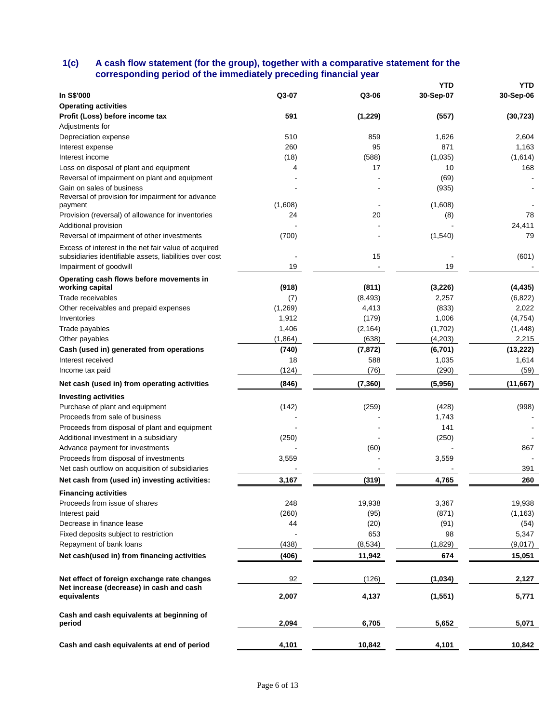## **1(c) A cash flow statement (for the group), together with a comparative statement for the corresponding period of the immediately preceding financial year**

|                                                                                                                 |         |          | YTD       | YTD       |
|-----------------------------------------------------------------------------------------------------------------|---------|----------|-----------|-----------|
| In S\$'000                                                                                                      | Q3-07   | Q3-06    | 30-Sep-07 | 30-Sep-06 |
| <b>Operating activities</b>                                                                                     |         |          |           |           |
| Profit (Loss) before income tax                                                                                 | 591     | (1, 229) | (557)     | (30, 723) |
| Adjustments for                                                                                                 |         |          |           |           |
| Depreciation expense                                                                                            | 510     | 859      | 1,626     | 2,604     |
| Interest expense                                                                                                | 260     | 95       | 871       | 1,163     |
| Interest income                                                                                                 | (18)    | (588)    | (1,035)   | (1,614)   |
| Loss on disposal of plant and equipment                                                                         | 4       | 17       | 10        | 168       |
| Reversal of impairment on plant and equipment                                                                   |         |          | (69)      |           |
| Gain on sales of business                                                                                       |         |          | (935)     |           |
| Reversal of provision for impairment for advance<br>payment                                                     | (1,608) |          | (1,608)   |           |
| Provision (reversal) of allowance for inventories                                                               | 24      | 20       | (8)       | 78        |
| Additional provision                                                                                            |         |          |           | 24,411    |
| Reversal of impairment of other investments                                                                     | (700)   |          | (1,540)   | 79        |
|                                                                                                                 |         |          |           |           |
| Excess of interest in the net fair value of acquired<br>subsidiaries identifiable assets, liabilities over cost |         | 15       |           | (601)     |
| Impairment of goodwill                                                                                          | 19      |          | 19        |           |
|                                                                                                                 |         |          |           |           |
| Operating cash flows before movements in<br>working capital                                                     | (918)   | (811)    | (3, 226)  | (4, 435)  |
| Trade receivables                                                                                               | (7)     | (8, 493) | 2,257     | (6, 822)  |
| Other receivables and prepaid expenses                                                                          | (1,269) | 4,413    | (833)     | 2,022     |
| Inventories                                                                                                     | 1,912   | (179)    | 1,006     | (4, 754)  |
| Trade payables                                                                                                  | 1,406   | (2, 164) | (1,702)   | (1, 448)  |
| Other payables                                                                                                  | (1,864) | (638)    | (4,203)   | 2,215     |
| Cash (used in) generated from operations                                                                        | (740)   | (7, 872) | (6,701)   | (13, 222) |
| Interest received                                                                                               | 18      | 588      | 1,035     | 1,614     |
| Income tax paid                                                                                                 | (124)   | (76)     | (290)     | (59)      |
| Net cash (used in) from operating activities                                                                    | (846)   | (7, 360) | (5,956)   | (11, 667) |
| <b>Investing activities</b>                                                                                     |         |          |           |           |
| Purchase of plant and equipment                                                                                 | (142)   | (259)    | (428)     | (998)     |
| Proceeds from sale of business                                                                                  |         |          | 1,743     |           |
| Proceeds from disposal of plant and equipment                                                                   |         |          | 141       |           |
| Additional investment in a subsidiary                                                                           | (250)   |          | (250)     |           |
| Advance payment for investments                                                                                 |         | (60)     |           | 867       |
| Proceeds from disposal of investments                                                                           | 3,559   |          | 3,559     |           |
| Net cash outflow on acquisition of subsidiaries                                                                 |         |          |           | 391       |
| Net cash from (used in) investing activities:                                                                   | 3,167   | (319)    | 4,765     | 260       |
|                                                                                                                 |         |          |           |           |
| <b>Financing activities</b>                                                                                     |         |          |           |           |
| Proceeds from issue of shares                                                                                   | 248     | 19,938   | 3,367     | 19,938    |
| Interest paid                                                                                                   | (260)   | (95)     | (871)     | (1, 163)  |
| Decrease in finance lease                                                                                       | 44      | (20)     | (91)      | (54)      |
| Fixed deposits subject to restriction                                                                           |         | 653      | 98        | 5,347     |
| Repayment of bank loans                                                                                         | (438)   | (8,534)  | (1,829)   | (9,017)   |
| Net cash(used in) from financing activities                                                                     | (406)   | 11,942   | 674       | 15,051    |
| Net effect of foreign exchange rate changes                                                                     | 92      | (126)    | (1,034)   | 2,127     |
| Net increase (decrease) in cash and cash<br>equivalents                                                         | 2,007   | 4,137    | (1,551)   | 5,771     |
|                                                                                                                 |         |          |           |           |
| Cash and cash equivalents at beginning of<br>period                                                             | 2,094   | 6,705    | 5,652     | 5,071     |
|                                                                                                                 |         |          |           |           |
| Cash and cash equivalents at end of period                                                                      | 4,101   | 10,842   | 4,101     | 10,842    |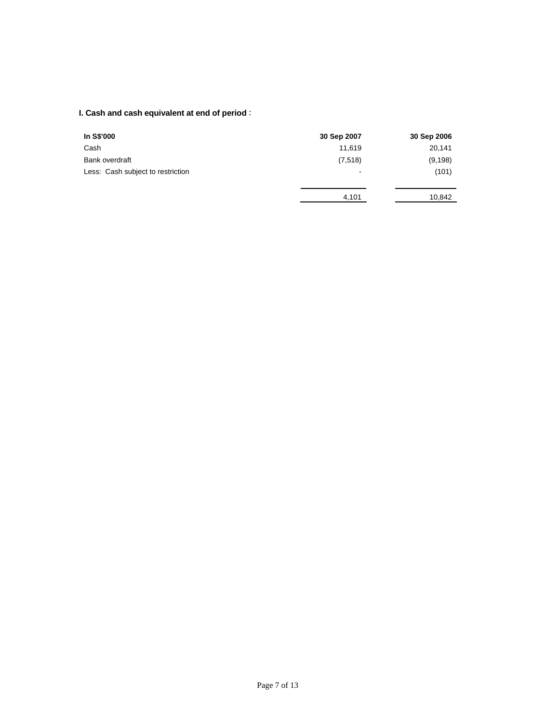# **I. Cash and cash equivalent at end of period** :

| In S\$'000                        | 30 Sep 2007              | 30 Sep 2006 |
|-----------------------------------|--------------------------|-------------|
| Cash                              | 11,619                   | 20,141      |
| Bank overdraft                    | (7,518)                  | (9, 198)    |
| Less: Cash subject to restriction | $\overline{\phantom{a}}$ | (101)       |
|                                   |                          |             |
|                                   | 4,101                    | 10,842      |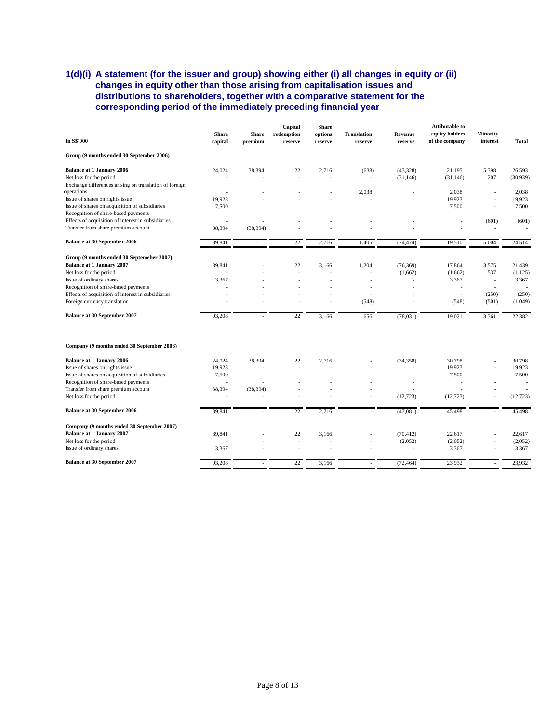## **1(d)(i) A statement (for the issuer and group) showing either (i) all changes in equity or (ii) changes in equity other than those arising from capitalisation issues and distributions to shareholders, together with a comparative statement for the corresponding period of the immediately preceding financial year**

|                                                        |                         |                          | Capital               | <b>Share</b>             |                               |                    | <b>Attibutable to</b>            |                             |           |
|--------------------------------------------------------|-------------------------|--------------------------|-----------------------|--------------------------|-------------------------------|--------------------|----------------------------------|-----------------------------|-----------|
| <b>In S\$'000</b>                                      | <b>Share</b><br>capital | <b>Share</b><br>premium  | redemption<br>reserve | options<br>reserve       | <b>Translation</b><br>reserve | Revenue<br>reserve | equity holders<br>of the company | <b>Minority</b><br>interest | Total     |
| Group (9 months ended 30 September 2006)               |                         |                          |                       |                          |                               |                    |                                  |                             |           |
| <b>Balance at 1 January 2006</b>                       | 24,024                  | 38,394                   | 22                    | 2,716                    | (633)                         | (43,328)           | 21,195                           | 5,398                       | 26,593    |
| Net loss for the period                                |                         |                          |                       |                          |                               | (31, 146)          | (31, 146)                        | 207                         | (30,939)  |
| Exchange differences arising on translation of foreign |                         |                          |                       |                          |                               |                    |                                  |                             |           |
| operations                                             |                         |                          |                       |                          | 2,038                         |                    | 2,038                            |                             | 2,038     |
| Issue of shares on rights issue                        | 19,923                  |                          |                       |                          |                               |                    | 19,923                           |                             | 19,923    |
| Issue of shares on acquisition of subsidiaries         | 7,500                   |                          |                       |                          |                               |                    | 7,500                            |                             | 7,500     |
| Recognition of share-based payments                    |                         |                          |                       |                          |                               |                    |                                  | $\overline{a}$              |           |
| Effects of acquisition of interest in subsidiaries     |                         |                          |                       |                          |                               |                    |                                  | (601)                       | (601)     |
| Transfer from share premium account                    | 38,394                  | (38, 394)                |                       |                          |                               |                    |                                  | $\overline{\phantom{a}}$    |           |
| <b>Balance at 30 September 2006</b>                    | 89,841                  |                          | 22                    | 2,716                    | 1,405                         | (74, 474)          | 19,510                           | 5,004                       | 24,514    |
| Group (9 months ended 30 Septemeber 2007)              |                         |                          |                       |                          |                               |                    |                                  |                             |           |
| <b>Balance at 1 January 2007</b>                       | 89,841                  |                          | 22                    | 3,166                    | 1,204                         | (76, 369)          | 17,864                           | 3,575                       | 21,439    |
| Net loss for the period                                |                         |                          |                       |                          |                               | (1,662)            | (1,662)                          | 537                         | (1, 125)  |
| Issue of ordinary shares                               | 3,367                   |                          |                       |                          |                               |                    | 3,367                            |                             | 3,367     |
| Recognition of share-based payments                    |                         |                          |                       | $\overline{\phantom{a}}$ | ÷                             |                    | ÷                                | $\overline{\phantom{a}}$    |           |
| Effects of acquisition of interest in subsidiaries     |                         |                          |                       |                          | ÷                             |                    | ÷                                | (250)                       | (250)     |
| Foreign currency translation                           |                         |                          |                       |                          | (548)                         |                    | (548)                            | (501)                       | (1,049)   |
| <b>Balance at 30 September 2007</b>                    | 93,208                  |                          | 22                    | 3,166                    | 656                           | (78, 031)          | 19,021                           | 3,361                       | 22,382    |
| Company (9 months ended 30 September 2006)             |                         |                          |                       |                          |                               |                    |                                  |                             |           |
| <b>Balance at 1 January 2006</b>                       | 24,024                  | 38,394                   | 22                    | 2,716                    |                               | (34, 358)          | 30,798                           |                             | 30,798    |
| Issue of shares on rights issue                        | 19,923                  |                          |                       |                          |                               |                    | 19,923                           |                             | 19,923    |
| Issue of shares on acquisition of subsidiaries         | 7,500                   |                          |                       |                          |                               |                    | 7,500                            |                             | 7,500     |
| Recognition of share-based payments                    |                         |                          |                       |                          |                               |                    |                                  |                             |           |
| Transfer from share premium account                    | 38,394                  | (38, 394)                |                       |                          |                               |                    |                                  |                             |           |
| Net loss for the period                                |                         |                          |                       |                          |                               | (12, 723)          | (12, 723)                        |                             | (12, 723) |
| <b>Balance at 30 September 2006</b>                    | 89,841                  | $\overline{\phantom{a}}$ | 22                    | 2,716                    |                               | (47,081)           | 45,498                           |                             | 45,498    |
| Company (9 months ended 30 September 2007)             |                         |                          |                       |                          |                               |                    |                                  |                             |           |
| <b>Balance at 1 January 2007</b>                       | 89.841                  |                          | 22                    | 3.166                    |                               | (70, 412)          | 22,617                           |                             | 22,617    |
| Net loss for the period                                |                         |                          |                       |                          |                               |                    |                                  |                             | (2,052)   |
| Issue of ordinary shares                               | 3,367                   |                          |                       |                          |                               | (2,052)            | (2,052)<br>3,367                 |                             | 3,367     |
|                                                        |                         |                          |                       |                          |                               |                    |                                  |                             |           |
| <b>Balance at 30 September 2007</b>                    | 93,208                  |                          | 22                    | 3,166                    |                               | (72, 464)          | 23,932                           |                             | 23,932    |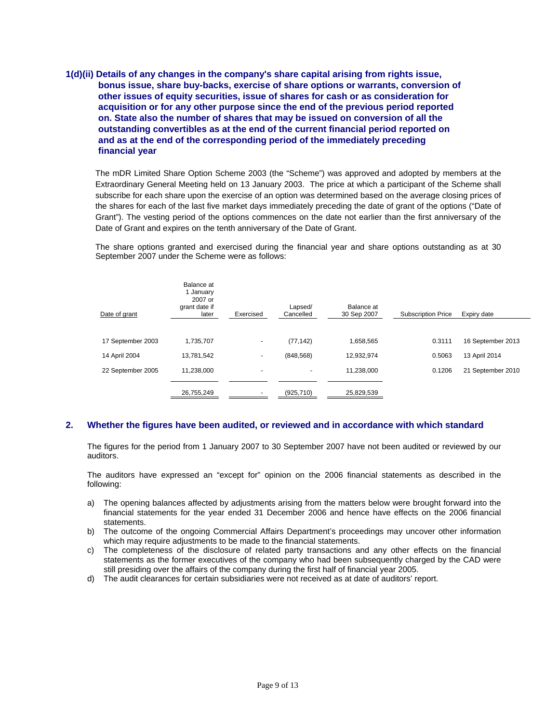**1(d)(ii) Details of any changes in the company's share capital arising from rights issue, bonus issue, share buy-backs, exercise of share options or warrants, conversion of other issues of equity securities, issue of shares for cash or as consideration for acquisition or for any other purpose since the end of the previous period reported on. State also the number of shares that may be issued on conversion of all the outstanding convertibles as at the end of the current financial period reported on and as at the end of the corresponding period of the immediately preceding financial year** 

The mDR Limited Share Option Scheme 2003 (the "Scheme") was approved and adopted by members at the Extraordinary General Meeting held on 13 January 2003. The price at which a participant of the Scheme shall subscribe for each share upon the exercise of an option was determined based on the average closing prices of the shares for each of the last five market days immediately preceding the date of grant of the options ("Date of Grant"). The vesting period of the options commences on the date not earlier than the first anniversary of the Date of Grant and expires on the tenth anniversary of the Date of Grant.

The share options granted and exercised during the financial year and share options outstanding as at 30 September 2007 under the Scheme were as follows:

| Date of grant     | Balance at<br>1 January<br>2007 or<br>grant date if<br>later | Exercised | Lapsed/<br>Cancelled | Balance at<br>30 Sep 2007 | <b>Subscription Price</b> | Expiry date       |
|-------------------|--------------------------------------------------------------|-----------|----------------------|---------------------------|---------------------------|-------------------|
|                   |                                                              |           |                      |                           |                           |                   |
| 17 September 2003 | 1.735.707                                                    |           | (77, 142)            | 1,658,565                 | 0.3111                    | 16 September 2013 |
| 14 April 2004     | 13,781,542                                                   | ٠         | (848, 568)           | 12,932,974                | 0.5063                    | 13 April 2014     |
| 22 September 2005 | 11,238,000                                                   |           | ٠                    | 11.238.000                | 0.1206                    | 21 September 2010 |
|                   | 26,755,249                                                   |           | (925, 710)           | 25,829,539                |                           |                   |

## **2. Whether the figures have been audited, or reviewed and in accordance with which standard**

The figures for the period from 1 January 2007 to 30 September 2007 have not been audited or reviewed by our auditors.

The auditors have expressed an "except for" opinion on the 2006 financial statements as described in the following:

- a) The opening balances affected by adjustments arising from the matters below were brought forward into the financial statements for the year ended 31 December 2006 and hence have effects on the 2006 financial statements.
- b) The outcome of the ongoing Commercial Affairs Department's proceedings may uncover other information which may require adjustments to be made to the financial statements.
- c) The completeness of the disclosure of related party transactions and any other effects on the financial statements as the former executives of the company who had been subsequently charged by the CAD were still presiding over the affairs of the company during the first half of financial year 2005.
- d) The audit clearances for certain subsidiaries were not received as at date of auditors' report.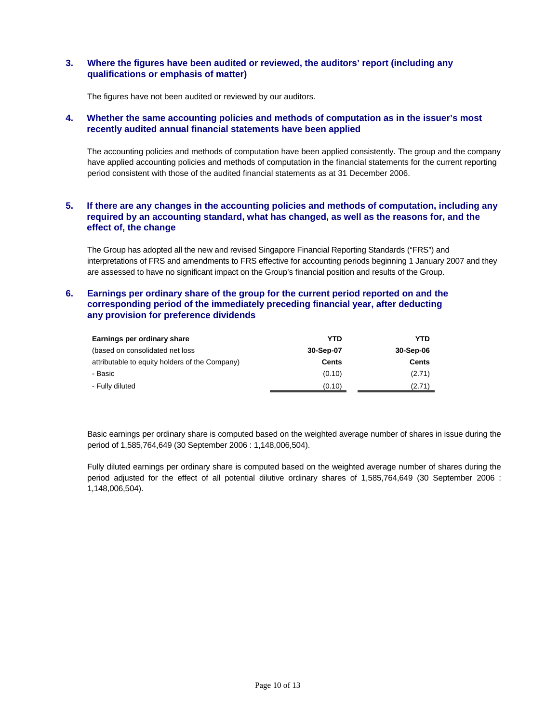## **3. Where the figures have been audited or reviewed, the auditors' report (including any qualifications or emphasis of matter)**

The figures have not been audited or reviewed by our auditors.

#### **4. Whether the same accounting policies and methods of computation as in the issuer's most recently audited annual financial statements have been applied**

The accounting policies and methods of computation have been applied consistently. The group and the company have applied accounting policies and methods of computation in the financial statements for the current reporting period consistent with those of the audited financial statements as at 31 December 2006.

## **5. If there are any changes in the accounting policies and methods of computation, including any required by an accounting standard, what has changed, as well as the reasons for, and the effect of, the change**

The Group has adopted all the new and revised Singapore Financial Reporting Standards ("FRS") and interpretations of FRS and amendments to FRS effective for accounting periods beginning 1 January 2007 and they are assessed to have no significant impact on the Group's financial position and results of the Group.

## **6. Earnings per ordinary share of the group for the current period reported on and the corresponding period of the immediately preceding financial year, after deducting any provision for preference dividends**

| Earnings per ordinary share                    | YTD       | YTD       |
|------------------------------------------------|-----------|-----------|
| (based on consolidated net loss)               | 30-Sep-07 | 30-Sep-06 |
| attributable to equity holders of the Company) | Cents     | Cents     |
| - Basic                                        | (0.10)    | (2.71)    |
| - Fully diluted                                | (0.10)    | (2.71)    |

Basic earnings per ordinary share is computed based on the weighted average number of shares in issue during the period of 1,585,764,649 (30 September 2006 : 1,148,006,504).

Fully diluted earnings per ordinary share is computed based on the weighted average number of shares during the period adjusted for the effect of all potential dilutive ordinary shares of 1,585,764,649 (30 September 2006 : 1,148,006,504).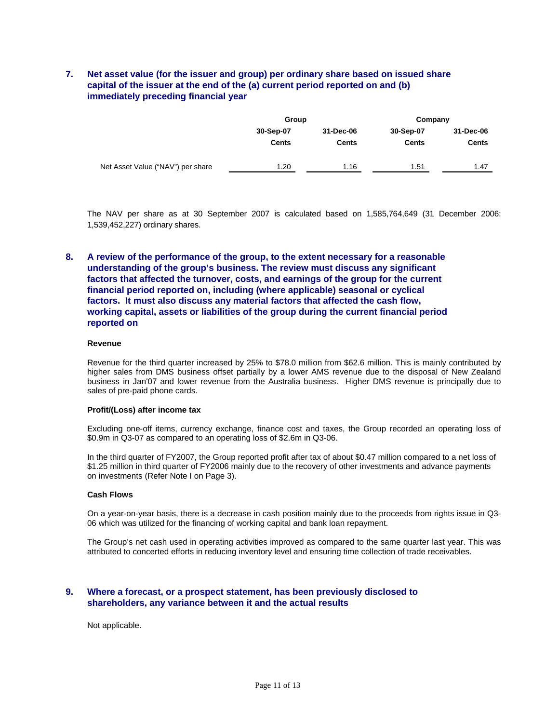## **7. Net asset value (for the issuer and group) per ordinary share based on issued share capital of the issuer at the end of the (a) current period reported on and (b) immediately preceding financial year**

|                                   | Group        |              | Company      |              |  |
|-----------------------------------|--------------|--------------|--------------|--------------|--|
|                                   | 30-Sep-07    | 31-Dec-06    | 30-Sep-07    | 31-Dec-06    |  |
|                                   | <b>Cents</b> | <b>Cents</b> | <b>Cents</b> | <b>Cents</b> |  |
| Net Asset Value ("NAV") per share | 1.20         | 1.16         | 1.51         | 1.47         |  |

The NAV per share as at 30 September 2007 is calculated based on 1,585,764,649 (31 December 2006: 1,539,452,227) ordinary shares.

## **8. A review of the performance of the group, to the extent necessary for a reasonable understanding of the group's business. The review must discuss any significant factors that affected the turnover, costs, and earnings of the group for the current financial period reported on, including (where applicable) seasonal or cyclical factors. It must also discuss any material factors that affected the cash flow, working capital, assets or liabilities of the group during the current financial period reported on**

#### **Revenue**

Revenue for the third quarter increased by 25% to \$78.0 million from \$62.6 million. This is mainly contributed by higher sales from DMS business offset partially by a lower AMS revenue due to the disposal of New Zealand business in Jan'07 and lower revenue from the Australia business. Higher DMS revenue is principally due to sales of pre-paid phone cards.

#### **Profit/(Loss) after income tax**

Excluding one-off items, currency exchange, finance cost and taxes, the Group recorded an operating loss of \$0.9m in Q3-07 as compared to an operating loss of \$2.6m in Q3-06.

In the third quarter of FY2007, the Group reported profit after tax of about \$0.47 million compared to a net loss of \$1.25 million in third quarter of FY2006 mainly due to the recovery of other investments and advance payments on investments (Refer Note I on Page 3).

#### **Cash Flows**

On a year-on-year basis, there is a decrease in cash position mainly due to the proceeds from rights issue in Q3- 06 which was utilized for the financing of working capital and bank loan repayment.

The Group's net cash used in operating activities improved as compared to the same quarter last year. This was attributed to concerted efforts in reducing inventory level and ensuring time collection of trade receivables.

### **9. Where a forecast, or a prospect statement, has been previously disclosed to shareholders, any variance between it and the actual results**

Not applicable.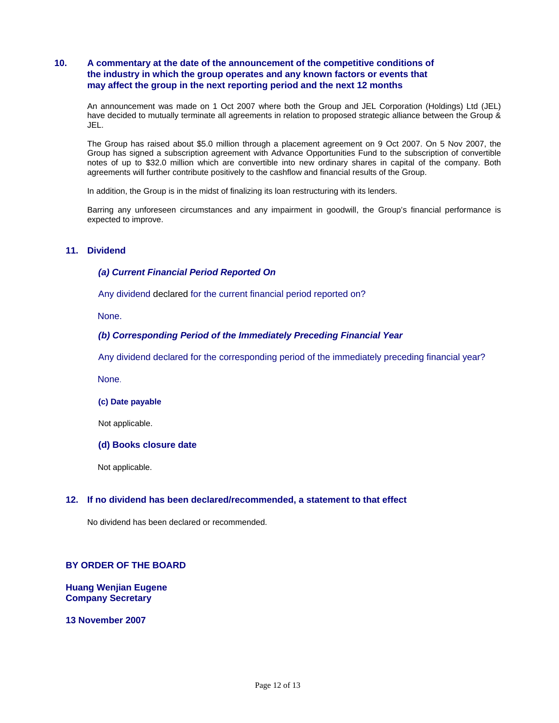## **10. A commentary at the date of the announcement of the competitive conditions of the industry in which the group operates and any known factors or events that may affect the group in the next reporting period and the next 12 months**

An announcement was made on 1 Oct 2007 where both the Group and JEL Corporation (Holdings) Ltd (JEL) have decided to mutually terminate all agreements in relation to proposed strategic alliance between the Group & JEL.

The Group has raised about \$5.0 million through a placement agreement on 9 Oct 2007. On 5 Nov 2007, the Group has signed a subscription agreement with Advance Opportunities Fund to the subscription of convertible notes of up to \$32.0 million which are convertible into new ordinary shares in capital of the company. Both agreements will further contribute positively to the cashflow and financial results of the Group.

In addition, the Group is in the midst of finalizing its loan restructuring with its lenders.

Barring any unforeseen circumstances and any impairment in goodwill, the Group's financial performance is expected to improve.

## **11. Dividend**

#### *(a) Current Financial Period Reported On*

Any dividend declared for the current financial period reported on?

None.

#### *(b) Corresponding Period of the Immediately Preceding Financial Year*

Any dividend declared for the corresponding period of the immediately preceding financial year?

None.

#### **(c) Date payable**

Not applicable.

#### **(d) Books closure date**

Not applicable.

#### **12. If no dividend has been declared/recommended, a statement to that effect**

No dividend has been declared or recommended.

## **BY ORDER OF THE BOARD**

**Huang Wenjian Eugene Company Secretary** 

**13 November 2007**